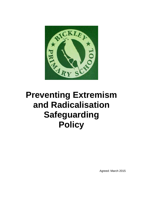

# **Preventing Extremism and Radicalisation Safeguarding Policy**

Agreed: March 2015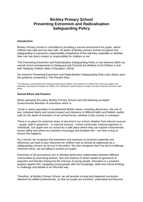### **Bickley Primary School Preventing Extremism and Radicalisation Safeguarding Policy**

#### **Introduction**

Bickley Primary School is committed to providing a secure environment for pupils, where children feel safe and are kept safe. All adults at Bickley primary School recognise that safeguarding is everyone's responsibility irrespective of the role they undertake or whether their role has direct contact or responsibility for children or not.

This Preventing Extremism and Radicalisation Safeguarding Policy is one element within our overall school arrangements to Safeguard and Promote the Welfare of all Children in line with 'Keeping Children Safe in Education' (2016)

Our school's Preventing Extremism and Radicalisation Safeguarding Policy also draws upon the guidance contained in 'The Prevent Duty.'

*<sup>1</sup>the physical, mental health and emotional well-being of children; the protection of children from harm and neglect; the education, training and recreation of children; the contribution made by them to society; and their social and economic wellbeing.*

### **School Ethos and Practice**

When operating this policy Bickley Primary School uses the following accepted Governmental definition of extremism which is:

*'Vocal or active opposition to fundamental British values, including democracy, the rule of law, individual liberty and mutual respect and tolerance of different faiths and beliefs; and/or calls for the death of members of our armed forces, whether in this country or overseas'.* 

There is no place for extremist views of any kind in our school, whether from internal sources – pupils, staff or governors - or external sources - school community, external agencies or individuals. Our pupils see our school as a safe place where they can explore controversial issues safely and where our teachers encourage and facilitate this – we have a duty to ensure this happens.

As a school, we recognise that extremism and exposure to extremist materials and influences can lead to poor outcomes for children and so should be addressed as a safeguarding concern as set out in this policy. We also recognise that if we fail to challenge extremist views, we are failing to protect our pupils.

Extremists of all persuasions aim to develop destructive relationships between different communities by promoting division, fear and mistrust of others based on ignorance or prejudice and thereby limiting the life chances of young people. Education is a powerful weapon against this; equipping young people with the knowledge, skills and critical thinking, to challenge and debate in an informed way.

Therefore, at Bickley Primary School, we will provide a broad and balanced curriculum, delivered by skilled professionals, so that our pupils are enriched, understand and become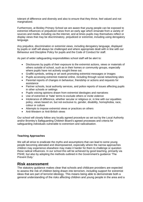tolerant of difference and diversity and also to ensure that they thrive, feel valued and not marginalized.

Furthermore, at Bickley Primary School we are aware that young people can be exposed to extremist influences or prejudiced views from an early age which emanate from a variety of sources and media, including via the internet, and at times pupils may themselves reflect or display views that may be discriminatory, prejudiced or extremist, including using derogatory language.

Any prejudice, discrimination or extremist views, including derogatory language, displayed by pupils or staff will always be challenged and where appropriate dealt with in line with our Behaviour and Discipline Policy for pupils and the Code of Conduct for staff.

As part of wider safeguarding responsibilities school staff will be alert to:

- Disclosures by pupils of their exposure to the extremist actions, views or materials of others outside of school, such as in their homes or community groups, especially where pupils have not actively sought these out.
- Graffiti symbols, writing or art work promoting extremist messages or images
- Pupils accessing extremist material online, including through social networking sites
- Parental reports of changes in behaviour, friendship or actions and requests for assistance
- Partner schools, local authority services, and police reports of issues affecting pupils in other schools or settings
- Pupils voicing opinions drawn from extremist ideologies and narratives
- Use of extremist or 'hate' terms to exclude others or incite violence
- Intolerance of difference, whether secular or religious or, in line with our equalities policy, views based on, but not exclusive to, gender, disability, homophobia, race, colour or culture
- Attempts to impose extremist views or practices on others
- Anti-Western or Anti-British views

Our school will closely follow any locally agreed procedure as set out by the Local Authority and/or Bromley's Safeguarding Children Board's agreed processes and criteria for safeguarding individuals vulnerable to extremism and radicalisation.

### **Teaching Approaches**

We will all strive to eradicate the myths and assumptions that can lead to some young people becoming alienated and disempowered, especially where the narrow approaches children may experience elsewhere may make it harder for them to challenge or question these radical influences. In our school this will be achieved by good teaching, primarily via PSHE; but also by adopting the methods outlined in the Government's guidance 'The Prevent Duty.'

### **Risk assessment**

The statutory guidance makes clear that schools and childcare providers are expected to assess the risk of children being drawn into terrorism, including support for extremist ideas that are part of terrorist ideology. This means being able to demonstrate both a general understanding of the risks affecting children and young people in the area and a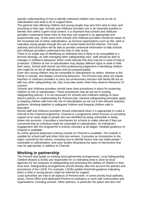specific understanding of how to identify individual children who may be at risk of radicalisation and what to do to support them.

The general risks affecting children and young people may vary from area to area, and according to their age. Schools and childcare providers are in an important position to identify risks within a given local context. It is important that schools and childcare providers understand these risks so that they can respond in an appropriate and proportionate way. At the same time schools and childcare providers should be aware of the increased risk of online radicalisation, as terrorist organisations such as ISIL seek to radicalise young people through the use of social media and the internet. The local authority and local police will be able to provide contextual information to help schools and childcare providers understand the risks in their areas.

There is no single way of identifying an individual who is likely to be susceptible to a terrorist ideology. As with managing other safeguarding risks, staff should be alert to changes in children's behaviour which could indicate that they may be in need of help or protection. Children at risk of radicalisation may display different signs or seek to hide their views. School staff should use their professional judgement in identifying children who might be at risk of radicalisation and act proportionately.

Even very young children may be vulnerable to radicalisation by others, whether in the family or outside, and display concerning behaviour. The Prevent duty does not require teachers or childcare providers to carry out unnecessary intrusion into family life but as with any other safeguarding risk, they must take action when they observe behaviour of concern.

Schools and childcare providers should have clear procedures in place for protecting children at risk of radicalisation. These procedures may be set out in existing safeguarding policies. It is not necessary for schools and childcare settings to have distinct policies on implementing the Prevent duty. General safeguarding principles apply to keeping children safe from the risk of radicalisation as set out in the relevant statutory guidance, Working together to safeguard children and Keeping children safe in education.

School staff and childcare providers should understand when it is appropriate to make a referral to the Channel programme. Channel is a programme which focuses on providing support at an early stage to people who are identified as being vulnerable to being drawn into terrorism. It provides a mechanism for schools to make referrals if they are concerned that an individual might be vulnerable to radicalisation. An individual's engagement with the programme is entirely voluntary at all stages. Detailed guidance on Channel is available.

An online general awareness training module on Channel is available. The module is suitable for school staff and other front-line workers. It provides an introduction to the topics covered by this advice, including how to identify factors that can make people 7 vulnerable to radicalisation, and case studies illustrating the types of intervention that may be appropriate, in addition to Channel.

### **Working in partnership**

The Prevent duty builds on existing local partnership arrangements. Local Safeguarding Children Boards (LSCBs) are responsible for co-ordinating what is done by local agencies for the purposes of safeguarding and promoting the welfare of children in their local area. Safeguarding arrangements should already take into account the policies and procedures of the LSCB. For example, LSCBs publish threshold guidance indicating when a child or young person might be referred for support.

Local authorities are vital to all aspects of Prevent work. In some priority local authority areas, Home Office fund dedicated Prevent co-ordinators to work with communities and organisations, including schools. Other partners, in particular the police and also civil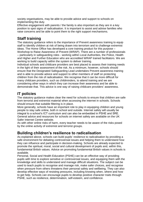society organisations, may be able to provide advice and support to schools on implementing the duty.

Effective engagement with parents / the family is also important as they are in a key position to spot signs of radicalisation. It is important to assist and advise families who raise concerns and be able to point them to the right support mechanisms.

### **Staff training**

The statutory guidance refers to the importance of Prevent awareness training to equip staff to identify children at risk of being drawn into terrorism and to challenge extremist ideas. The Home Office has developed a core training product for this purpose – Workshop to Raise Awareness of Prevent (WRAP). There are a number of professionals – particularly in safeguarding roles - working within Local Authorities, the Police, Health and Higher and Further Education who are accredited WRAP trained facilitators. We are working to build capacity within the system to deliver training.

Individual schools and childcare providers are best placed to assess their training needs in the light of their assessment of the risk. As a minimum, however, schools should ensure that the Designated Safeguarding Lead undertakes Prevent awareness training and is able to provide advice and support to other members of staff on protecting children from the risk of radicalisation. We recognise that it can be more difficult for many childcare providers, such as childminders, to attend training and we are considering other ways in which they can increase their awareness and be able to demonstrate that. This advice is one way of raising childcare providers' awareness.

## **IT policies**

The statutory guidance makes clear the need for schools to ensure that children are safe from terrorist and extremist material when accessing the internet in schools. Schools should ensure that suitable filtering is in place.

More generally, schools have an important role to play in equipping children and young people to stay safe online, both in school and outside. Internet safety will usually be integral to a school's ICT curriculum and can also be embedded in PSHE and SRE. General advice and resources for schools on internet safety are available on the UK Safer Internet Centre website.

As with other online risks of harm, every teacher needs to be aware of the risks posed by the online activity of extremist and terrorist groups.

### **Building children's resilience to radicalisation**

As explained above, schools can build pupils' resilience to radicalisation by providing a safe environment for debating controversial issues and helping them to understand how they can influence and participate in decision-making. Schools are already expected to promote the spiritual, moral, social and cultural development of pupils and, within this, fundamental British values. Advice on promoting fundamental British values in schools is available.

Personal, Social and Health Education (PSHE) can be an effective way of providing pupils with time to explore sensitive or controversial issues, and equipping them with the knowledge and skills to understand and manage difficult situations. The subject can be used to teach pupils to recognise and manage risk, make safer choices, and recognise when pressure from others threatens their personal safety and wellbeing. They can also develop effective ways of resisting pressures, including knowing when, where and how to get help. Schools can encourage pupils to develop positive character traits through PSHE, such as resilience, determination, self-esteem, and confidence.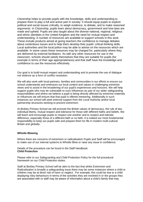Citizenship helps to provide pupils with the knowledge, skills and understanding to prepare them to play a full and active part in society. It should equip pupils to explore political and social issues critically, to weigh evidence, to debate, and to make reasoned arguments. In Citizenship, pupils learn about democracy, government and how laws are made and upheld. Pupils are also taught about the diverse national, regional, religious and ethnic identities in the United Kingdom and the need for mutual respect and understanding. A number of resources are available to support schools in this work. These include products aimed at giving teachers the confidence to manage debates about contentious issues and to help them develop their pupils' critical thinking skills. Local authorities and the local police may be able to advise on the resources which are available. In some cases these resources may be charged for, particularly where they are delivered by external facilitators. As with any other resources for use in the classroom, schools should satisfy themselves that they are suitable for pupils (for example in terms of their age appropriateness) and that staff have the knowledge and confidence to use the resources effectively.

Our goal is to build mutual respect and understanding and to promote the use of dialogue not violence as a form of conflict resolution.

We will also work with local partners, families and communities in our efforts to ensure our school understands and embraces our local context and values in challenging extremist views and to assist in the broadening of our pupil's experiences and horizons. We will help support pupils who may be vulnerable to such influences as part of our wider safeguarding responsibilities and where we believe a pupil is being directly affected by extremist materials or influences we will ensure that that pupil is offered mentoring. Additionally in such instances our school will seek external support from the Local Authority and/or local partnership structures working to prevent extremism.

At Bickley Primary School we will promote the British values of democracy, the rule of law, individual liberty, mutual respect and tolerance for those with different faiths and beliefs. We will teach and encourage pupils to respect one another and to respect and tolerate difference, especially those of a different faith or no faith. It is indeed our most fundamental responsibility to keep our pupils safe and prepare them for life in modern multi-cultural Britain and globally.

#### **Whistle Blowing**

Where there are concerns of extremism or radicalisation Pupils and Staff will be encouraged to make use of our internal systems to Whistle Blow or raise any issue in confidence.

Details of the procedure can be found in the Staff Handbook. **Child Protection**

Please refer to our Safeguarding and Child Protection Policy for the full procedural framework on our Child Protection duties.

Staff at Bickley Primary School will be alert to the fact that whilst Extremism and Radicalisation is broadly a safeguarding issue there may be some instances where a child or children may be at direct risk of harm or neglect. For example; this could be due to a child displaying risky behaviours in terms of the activities they are involved in or the groups they are associated with or staff may be aware of information about a child's family that may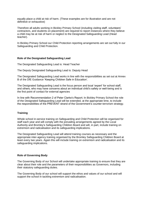equally place a child at risk of harm. (These examples are for illustration and are not definitive or exhaustive)

Therefore all adults working in Bickley Primary School (including visiting staff, volunteers' contractors, and students on placement) are required to report instances where they believe a child may be at risk of harm or neglect to the Designated Safeguarding Lead (Head teacher).

In Bickley Primary School our Child Protection reporting arrangements are set out fully in our Safeguarding and Child Protection.

### **Role of the Designated Safeguarding Lead**

The Designated Safeguarding Lead is: Head Teacher

The Deputy Designated Safeguarding Lead is: Deputy Head

The Designated Safeguarding Lead works in line with the responsibilities as set out at Annex B of the DfE Guidance 'Keeping Children Safe in Education'.

The Designated Safeguarding Lead is the focus person and local 'expert' for school staff, and others, who may have concerns about an individual child's safety or well-being and is the first point of contact for external agencies

In line with Recommendation 2 of Peter Clarke's Report; In Bickley Primary School the role of the Designated Safeguarding Lead will be extended, at the appropriate time, to include the responsibilities of the PREVENT strand of the Government's counter-terrorism strategy.

#### **Training**

Whole school in-service training on Safeguarding and Child Protection will be organised for staff each year and will comply with the prevailing arrangements agreed by the Local Authority and Bromley's Safeguarding Children Board and will, in part, include training on extremism and radicalisation and its safeguarding implications.

The Designated Safeguarding Lead will attend training courses as necessary and the appropriate inter-agency training organised by the Bromley Safeguarding Children Board at least every two years. Again this will include training on extremism and radicalisation and its safeguarding implications.

#### **Role of Governing Body**

The Governing Body of our School will undertake appropriate training to ensure that they are clear about their role and the parameters of their responsibilities as Governors, including their statutory safeguarding duties.

The Governing Body of our school will support the ethos and values of our school and will support the school in tackling extremism and radicalisation.